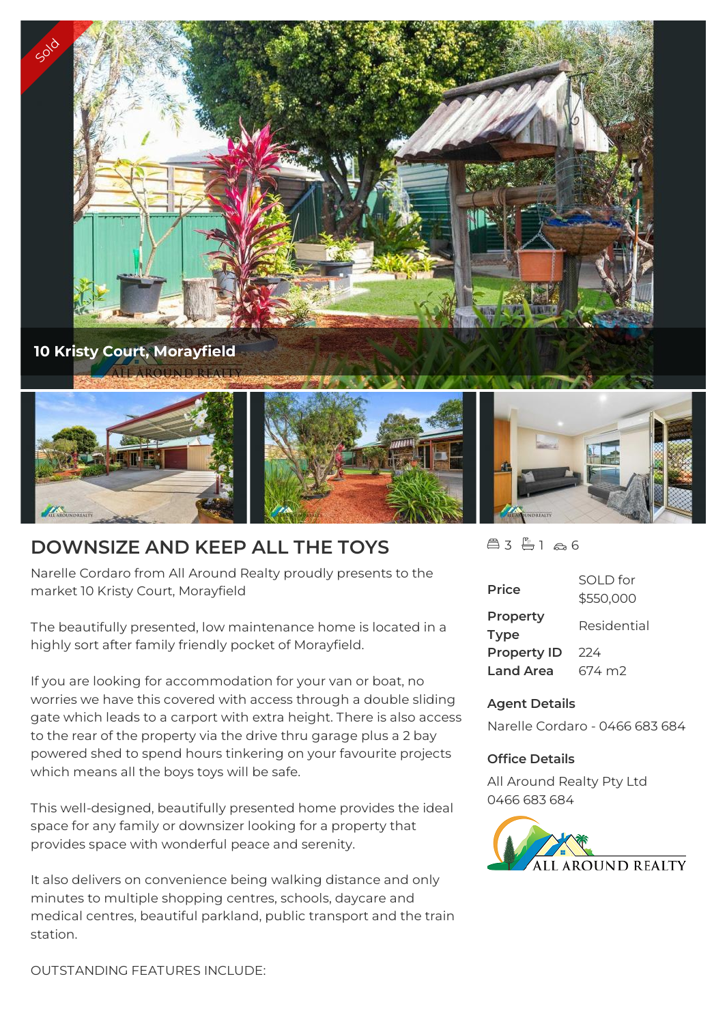

## **DOWNSIZE AND KEEP ALL THE TOYS**

Narelle Cordaro from All Around Realty proudly presents to the market 10 Kristy Court, Morayfield

The beautifully presented, low maintenance home is located in a highly sort after family friendly pocket of Morayfield.

If you are looking for accommodation for your van or boat, no worries we have this covered with access through a double sliding gate which leads to a carport with extra height. There is also access to the rear of the property via the drive thru garage plus a 2 bay powered shed to spend hours tinkering on your favourite projects which means all the boys toys will be safe.

This well-designed, beautifully presented home provides the ideal space for any family or downsizer looking for a property that provides space with wonderful peace and serenity.

It also delivers on convenience being walking distance and only minutes to multiple shopping centres, schools, daycare and medical centres, beautiful parkland, public transport and the train station.

 $43 - 166$ 

| <b>Price</b>            | SOLD for<br>\$550,000 |
|-------------------------|-----------------------|
| Property<br><b>Type</b> | Residential           |
| <b>Property ID</b>      | 224                   |
| <b>Land Area</b>        | 674 m2                |

## **Agent Details**

Narelle Cordaro - 0466 683 684

## **Office Details**

All Around Realty Pty Ltd 0466 683 684